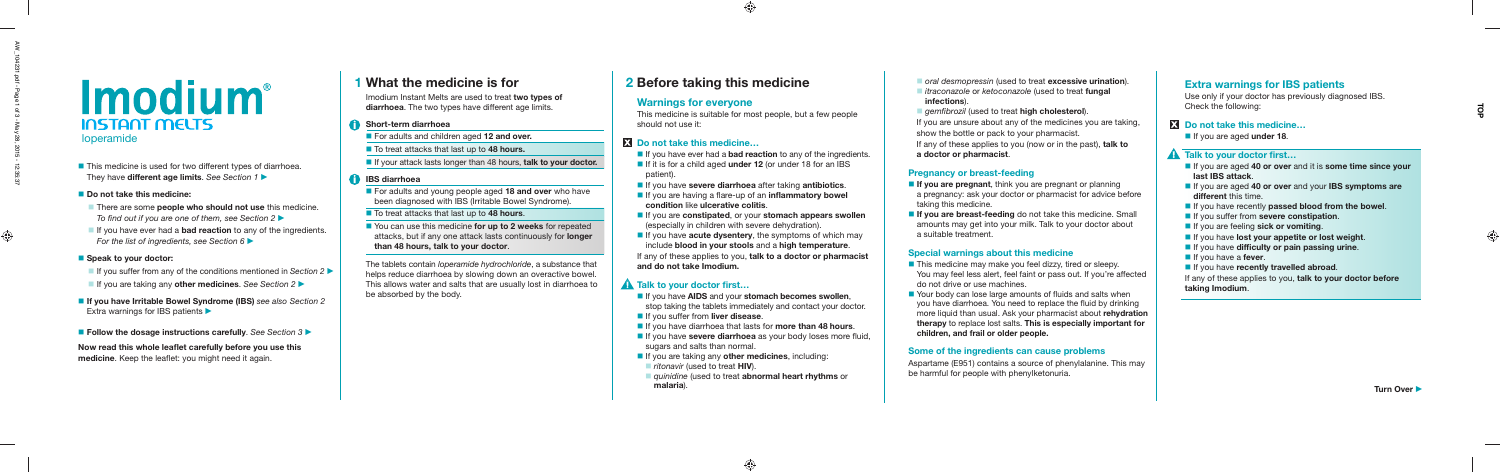- There are some **people who should not use** this medicine. To find out if you are one of them, see Section  $2 \blacktriangleright$
- If you have ever had a **bad reaction** to any of the ingredients. For the list of ingredients, see Section 6  $\blacktriangleright$

#### ■ Speak to your doctor:

- If you suffer from any of the conditions mentioned in Section 2
- If you are taking any **other medicines**. See Section 2
- If you have Irritable Bowel Syndrome (IBS) see also Section 2 Extra warnings for IBS patients  $\blacktriangleright$
- **Follow the dosage instructions carefully**. See Section 3

Now read this whole leaflet carefully before you use this **medicine**. Keep the leaflet: you might need it again.

- If you have ever had a **bad reaction** to any of the ingredients.
- If it is for a child aged **under 12** (or under 18 for an IBS patient).
- If you have **severe diarrhoea** after taking **antibiotics**.
- **If** you are having a flare-up of an **inflammatory bowel condition** like **ulcerative colitis**.
- If you are **constipated**, or your **stomach appears swollen** (especially in children with severe dehydration).
- If you have **acute dysentery**, the symptoms of which may include **blood in your stools** and a **high temperature**.

# **2 Before taking this medicine**

## **Warnings for everyone**

This medicine is suitable for most people, but a few people should not use it:

## **Do not take this medicine…**

- 
- **n** oral desmopressin (used to treat **excessive urination**). **itraconazole or ketoconazole (used to treat fungal infections**).
- 
- If you are unsure about any of the medicines you are taking, show the bottle or pack to your pharmacist.
- 

- **gemfibrozil** (used to treat **high cholesterol**).
- If any of these applies to you (now or in the past), **talk to a doctor or pharmacist**.

- **If you are pregnant**, think you are pregnant or planning a pregnancy: ask your doctor or pharmacist for advice before taking this medicine.
- 

**If you are breast-feeding** do not take this medicine. Small amounts may get into your milk. Talk to your doctor about a suitable treatment.

■ This medicine may make you feel dizzy, tired or sleepy. You may feel less alert, feel faint or pass out. If you're affected do not drive or use machines.

If any of these applies to you, **talk to a doctor or pharmacist and do not take Imodium.**

## **A** Talk to your doctor first...

 $\blacksquare$  Your body can lose large amounts of fluids and salts when you have diarrhoea. You need to replace the fluid by drinking more liquid than usual. Ask your pharmacist about **rehydration therapy** to replace lost salts. **This is especially important for children, and frail or older people.**

- If you are aged **40 or over** and it is **some time since your last IBS attack**.
- If you are aged **40 or over** and your **IBS symptoms are different** this time.
- **If you have recently passed blood from the bowel.**
- **If you suffer from severe constipation.**
- **If you are feeling sick or vomiting.**
- **If you have lost your appetite or lost weight.**
- **If you have difficulty or pain passing urine.**
- **If** you have a **fever**.
- **If you have recently travelled abroad.**

- If you have **AIDS** and your **stomach becomes swollen**, stop taking the tablets immediately and contact your doctor.
- **If you suffer from liver disease.**
- **If you have diarrhoea that lasts for more than 48 hours.**
- If you have **severe diarrhoea** as your body loses more fluid, sugars and salts than normal.
- **If you are taking any other medicines**, including: **F** ritonavir (used to treat **HIV**).
- **quinidine (used to treat abnormal heart rhythms** or **malaria**).

■ You can use this medicine **for up to 2 weeks** for repeated attacks, but if any one attack lasts continuously for **longer than 48 hours, talk to your doctor**.

#### **Pregnancy or breast-feeding**

#### **Special warnings about this medicine**

#### **Some of the ingredients can cause problems**

Aspartame (E951) contains a source of phenylalanine. This may be harmful for people with phenylketonuria.

# *Imodium*<sup>®</sup> **INSTANT MELTS**

loperamide

■ This medicine is used for two different types of diarrhoea. They have **different age limits**. See Section 1

■ Do not take this medicine:

### **Extra warnings for IBS patients**

Use only if your doctor has previously diagnosed IBS. Check the following:

#### **Do not take this medicine…**

If you are aged **under 18**.

#### **A** Talk to your doctor first...

If any of these applies to you, **talk to your doctor before taking Imodium**.

# **1 What the medicine is for**

Imodium Instant Melts are used to treat **two types of diarrhoea**. The two types have different age limits.

#### **Short-term diarrhoea**

For adults and children aged **12 and over.**

■ To treat attacks that last up to 48 hours.

**If your attack lasts longer than 48 hours, talk to your doctor.** 

#### **IBS diarrhoea**

 For adults and young people aged **18 and over** who have been diagnosed with IBS (Irritable Bowel Syndrome).

To treat attacks that last up to **48 hours**.

The tablets contain loperamide hydrochloride, a substance that helps reduce diarrhoea by slowing down an overactive bowel. This allows water and salts that are usually lost in diarrhoea to be absorbed by the body.